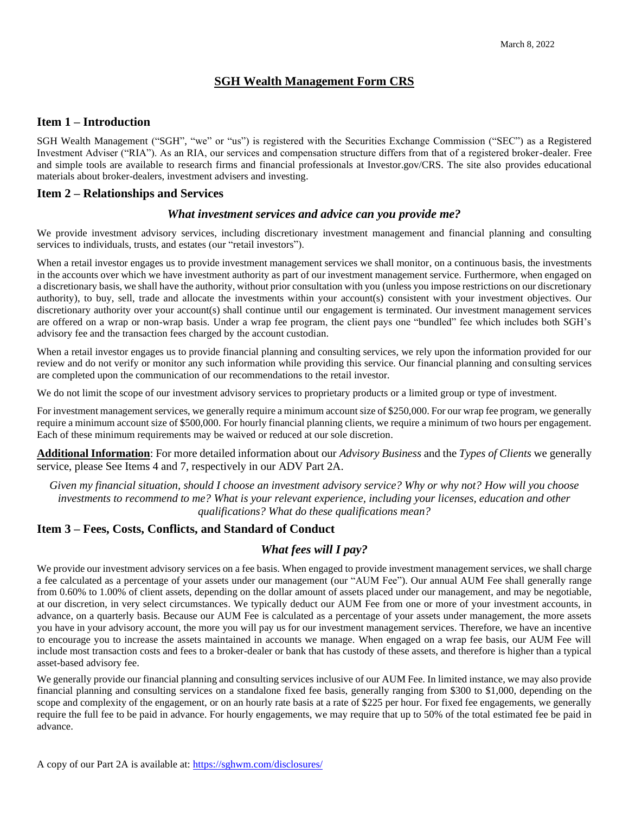# **SGH Wealth Management Form CRS**

## **Item 1 – Introduction**

SGH Wealth Management ("SGH", "we" or "us") is registered with the Securities Exchange Commission ("SEC") as a Registered Investment Adviser ("RIA"). As an RIA, our services and compensation structure differs from that of a registered broker-dealer. Free and simple tools are available to research firms and financial professionals at Investor.gov/CRS. The site also provides educational materials about broker-dealers, investment advisers and investing.

### **Item 2 – Relationships and Services**

### *What investment services and advice can you provide me?*

We provide investment advisory services, including discretionary investment management and financial planning and consulting services to individuals, trusts, and estates (our "retail investors").

When a retail investor engages us to provide investment management services we shall monitor, on a continuous basis, the investments in the accounts over which we have investment authority as part of our investment management service. Furthermore, when engaged on a discretionary basis, we shall have the authority, without prior consultation with you (unless you impose restrictions on our discretionary authority), to buy, sell, trade and allocate the investments within your account(s) consistent with your investment objectives. Our discretionary authority over your account(s) shall continue until our engagement is terminated. Our investment management services are offered on a wrap or non-wrap basis. Under a wrap fee program, the client pays one "bundled" fee which includes both SGH's advisory fee and the transaction fees charged by the account custodian.

When a retail investor engages us to provide financial planning and consulting services, we rely upon the information provided for our review and do not verify or monitor any such information while providing this service. Our financial planning and consulting services are completed upon the communication of our recommendations to the retail investor.

We do not limit the scope of our investment advisory services to proprietary products or a limited group or type of investment.

For investment management services, we generally require a minimum account size of \$250,000. For our wrap fee program, we generally require a minimum account size of \$500,000. For hourly financial planning clients, we require a minimum of two hours per engagement. Each of these minimum requirements may be waived or reduced at our sole discretion.

**Additional Information**: For more detailed information about our *Advisory Business* and the *Types of Clients* we generally service, please See Items 4 and 7, respectively in our ADV Part 2A.

*Given my financial situation, should I choose an investment advisory service? Why or why not? How will you choose investments to recommend to me? What is your relevant experience, including your licenses, education and other qualifications? What do these qualifications mean?*

## **Item 3 – Fees, Costs, Conflicts, and Standard of Conduct**

## *What fees will I pay?*

We provide our investment advisory services on a fee basis. When engaged to provide investment management services, we shall charge a fee calculated as a percentage of your assets under our management (our "AUM Fee"). Our annual AUM Fee shall generally range from 0.60% to 1.00% of client assets, depending on the dollar amount of assets placed under our management, and may be negotiable, at our discretion, in very select circumstances. We typically deduct our AUM Fee from one or more of your investment accounts, in advance, on a quarterly basis. Because our AUM Fee is calculated as a percentage of your assets under management, the more assets you have in your advisory account, the more you will pay us for our investment management services. Therefore, we have an incentive to encourage you to increase the assets maintained in accounts we manage. When engaged on a wrap fee basis, our AUM Fee will include most transaction costs and fees to a broker-dealer or bank that has custody of these assets, and therefore is higher than a typical asset-based advisory fee.

We generally provide our financial planning and consulting services inclusive of our AUM Fee. In limited instance, we may also provide financial planning and consulting services on a standalone fixed fee basis, generally ranging from \$300 to \$1,000, depending on the scope and complexity of the engagement, or on an hourly rate basis at a rate of \$225 per hour. For fixed fee engagements, we generally require the full fee to be paid in advance. For hourly engagements, we may require that up to 50% of the total estimated fee be paid in advance.